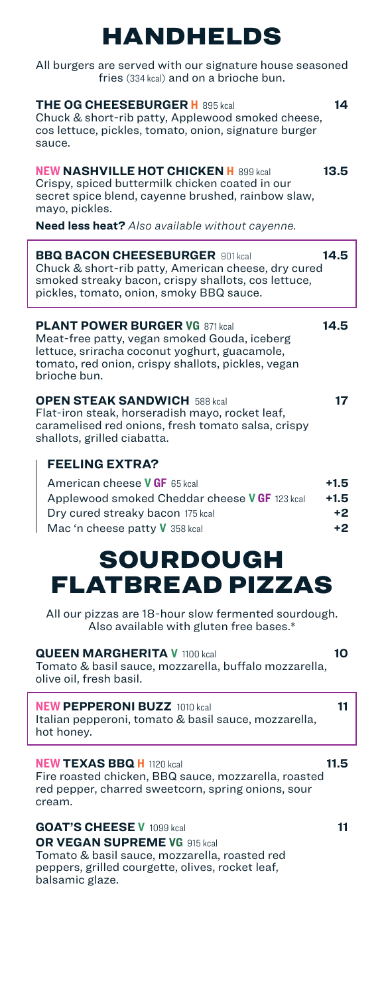# HANDHELDS

All burgers are served with our signature house seasoned fries (334 kcal) and on a brioche bun.

| <b>THE OG CHEESEBURGER H</b> 895 kcal<br>14<br>Chuck & short-rib patty, Applewood smoked cheese,<br>cos lettuce, pickles, tomato, onion, signature burger<br>sauce.                                                               |
|-----------------------------------------------------------------------------------------------------------------------------------------------------------------------------------------------------------------------------------|
| <b>NEW NASHVILLE HOT CHICKEN H</b> 899 kcal<br>13.5<br>Crispy, spiced buttermilk chicken coated in our<br>secret spice blend, cayenne brushed, rainbow slaw,<br>mayo, pickles.<br>Need less heat? Also available without cayenne. |
| 14.5<br><b>BBQ BACON CHEESEBURGER 901 kcal</b><br>Chuck & short-rib patty, American cheese, dry cured<br>smoked streaky bacon, crispy shallots, cos lettuce,<br>pickles, tomato, onion, smoky BBQ sauce.                          |
| <b>PLANT POWER BURGER VG 871 kcal</b><br>14.5<br>Meat-free patty, vegan smoked Gouda, iceberg<br>lettuce, sriracha coconut yoghurt, guacamole,<br>tomato, red onion, crispy shallots, pickles, vegan<br>brioche bun.              |
| <b>OPEN STEAK SANDWICH 588 kcal</b><br>17<br>Flat-iron steak, horseradish mayo, rocket leaf,<br>caramelised red onions, fresh tomato salsa, crispy<br>shallots, grilled ciabatta.                                                 |
| <b>FEELING EXTRA?</b><br>American cheese <b>VGF</b> 65 kcal<br>+1.5<br>Applewood smoked Cheddar cheese VGF 123 kcal<br>+1.5<br>Dry cured streaky bacon 175 kcal<br>+2<br>$+2$<br>Mac 'n cheese patty V 358 kcal                   |
| SOURDOUGH<br>FLATBREAD PIZZAS                                                                                                                                                                                                     |
| All our pizzas are 18-hour slow fermented sourdough.<br>Also available with gluten free bases.*                                                                                                                                   |
| <b>QUEEN MARGHERITA V 1100 kcal</b><br>10<br>Tomato & basil sauce, mozzarella, buffalo mozzarella,<br>olive oil, fresh basil.                                                                                                     |
| 11<br><b>NEW PEPPERONI BUZZ</b> 1010 kcal<br>Italian pepperoni, tomato & basil sauce, mozzarella,<br>hot honey.                                                                                                                   |
| <b>NEW TEXAS BBQ H</b> 1120 kcal<br>11.5<br>Fire roasted chicken, BBQ sauce, mozzarella, roasted<br>red pepper, charred sweetcorn, spring onions, sour<br>cream.                                                                  |
| 11<br><b>GOAT'S CHEESE V</b> 1099 kcal<br><b>OR VEGAN SUPREME VG</b> 915 kcal<br>Tomato & basil sauce, mozzarella, roasted red<br>peppers, grilled courgette, olives, rocket leaf,<br>balsamic glaze.                             |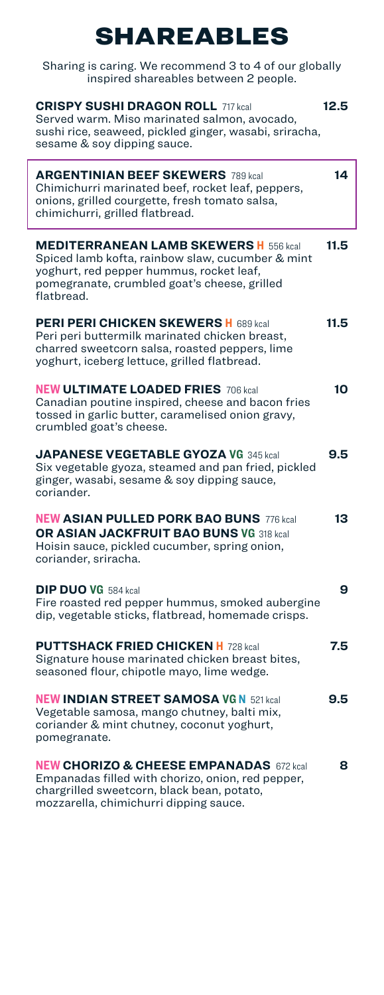# SHAREABLES

| Sharing is caring. We recommend 3 to 4 of our globally<br>inspired shareables between 2 people.                                                                                                            |      |
|------------------------------------------------------------------------------------------------------------------------------------------------------------------------------------------------------------|------|
| <b>CRISPY SUSHI DRAGON ROLL 717 kcal</b><br>Served warm. Miso marinated salmon, avocado,<br>sushi rice, seaweed, pickled ginger, wasabi, sriracha,<br>sesame & soy dipping sauce.                          | 12.5 |
| <b>ARGENTINIAN BEEF SKEWERS</b> 789 kcal<br>Chimichurri marinated beef, rocket leaf, peppers,<br>onions, grilled courgette, fresh tomato salsa,<br>chimichurri, grilled flatbread.                         | 14   |
| <b>MEDITERRANEAN LAMB SKEWERS H</b> 556 kcal<br>Spiced lamb kofta, rainbow slaw, cucumber & mint<br>yoghurt, red pepper hummus, rocket leaf,<br>pomegranate, crumbled goat's cheese, grilled<br>flatbread. | 11.5 |
| <b>PERI PERI CHICKEN SKEWERS H</b> 689 kcal<br>Peri peri buttermilk marinated chicken breast,<br>charred sweetcorn salsa, roasted peppers, lime<br>yoghurt, iceberg lettuce, grilled flatbread.            | 11.5 |
| <b>NEW ULTIMATE LOADED FRIES 706 kcal</b><br>Canadian poutine inspired, cheese and bacon fries<br>tossed in garlic butter, caramelised onion gravy,<br>crumbled goat's cheese.                             | 10   |
| <b>JAPANESE VEGETABLE GYOZA VG 345 kcal</b><br>Six vegetable gyoza, steamed and pan fried, pickled<br>ginger, wasabi, sesame & soy dipping sauce,<br>coriander.                                            | 9.5  |
| <b>NEW ASIAN PULLED PORK BAO BUNS 776 kcal</b><br>OR ASIAN JACKFRUIT BAO BUNS VG 318 kcal<br>Hoisin sauce, pickled cucumber, spring onion,<br>coriander, sriracha.                                         | 13   |
| <b>DIP DUO VG</b> 584 kcal<br>Fire roasted red pepper hummus, smoked aubergine<br>dip, vegetable sticks, flatbread, homemade crisps                                                                        | 9    |
| <b>PUTTSHACK FRIED CHICKEN H 728 kcal</b><br>Signature house marinated chicken breast bites,<br>seasoned flour, chipotle mayo, lime wedge.                                                                 | 7.5  |
| <b>NEW INDIAN STREET SAMOSA VG N 521 kcal</b><br>Vegetable samosa, mango chutney, balti mix,<br>coriander & mint chutney, coconut yoghurt,<br>pomegranate.                                                 | 9.5  |
| <b>NEW CHORIZO &amp; CHEESE EMPANADAS</b> 672 kcal<br>Empanadas filled with chorizo, onion, red pepper,<br>chargrilled sweetcorn, black bean, potato,<br>mozzarella, chimichurri dipping sauce.            | 8    |